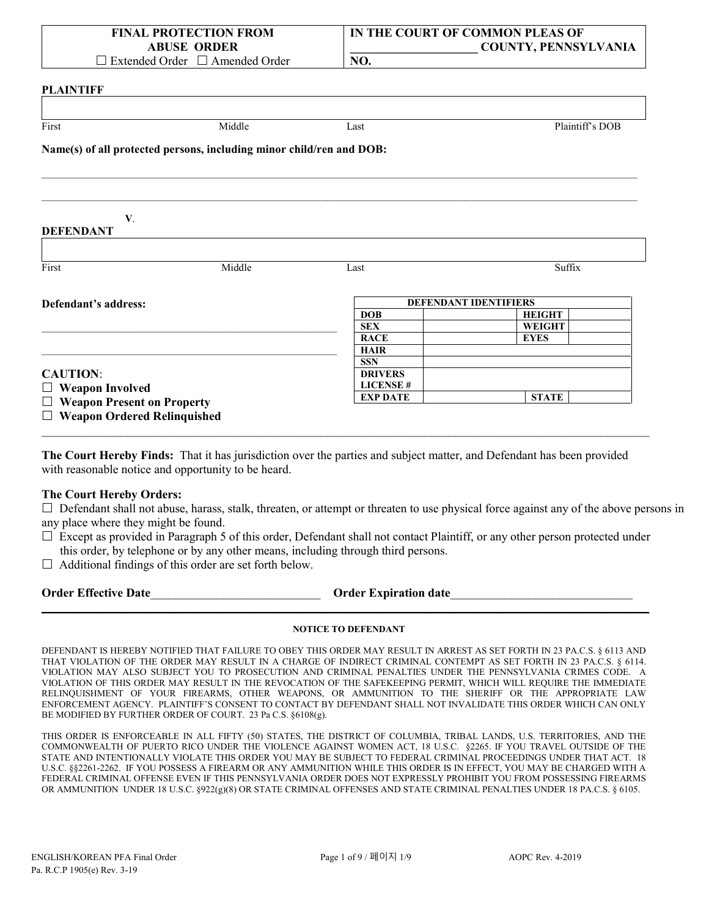| <b>FINAL PROTECTION FROM</b>               | IN THE COURT OF COMMON PLEAS OF |
|--------------------------------------------|---------------------------------|
| <b>ABUSE ORDER</b>                         | <b>COUNTY, PENNSYLVANIA</b>     |
| $\Box$ Extended Order $\Box$ Amended Order | NO.                             |

| Middle<br>Last<br>V.<br>Middle<br>Suffix<br>Last<br>DEFENDANT IDENTIFIERS<br><b>DOB</b><br><b>HEIGHT</b><br><b>SEX</b><br><b>WEIGHT</b><br><b>EYES</b><br><b>RACE</b><br><b>HAIR</b><br><b>SSN</b><br><b>DRIVERS</b><br><b>LICENSE#</b><br><b>EXP DATE</b><br><b>STATE</b> |                 |
|----------------------------------------------------------------------------------------------------------------------------------------------------------------------------------------------------------------------------------------------------------------------------|-----------------|
| First                                                                                                                                                                                                                                                                      |                 |
| Name(s) of all protected persons, including minor child/ren and DOB:<br><b>DEFENDANT</b><br>First<br>Defendant's address:<br><b>CAUTION:</b><br>$\Box$ Weapon Involved<br>$\Box$ Weapon Present on Property                                                                | Plaintiff's DOB |
|                                                                                                                                                                                                                                                                            |                 |
|                                                                                                                                                                                                                                                                            |                 |
|                                                                                                                                                                                                                                                                            |                 |
|                                                                                                                                                                                                                                                                            |                 |
|                                                                                                                                                                                                                                                                            |                 |
|                                                                                                                                                                                                                                                                            |                 |
|                                                                                                                                                                                                                                                                            |                 |
|                                                                                                                                                                                                                                                                            |                 |
|                                                                                                                                                                                                                                                                            |                 |
|                                                                                                                                                                                                                                                                            |                 |
|                                                                                                                                                                                                                                                                            |                 |
|                                                                                                                                                                                                                                                                            |                 |
|                                                                                                                                                                                                                                                                            |                 |
|                                                                                                                                                                                                                                                                            |                 |
|                                                                                                                                                                                                                                                                            |                 |
|                                                                                                                                                                                                                                                                            |                 |
|                                                                                                                                                                                                                                                                            |                 |
|                                                                                                                                                                                                                                                                            |                 |

**The Court Hereby Finds:** That it has jurisdiction over the parties and subject matter, and Defendant has been provided with reasonable notice and opportunity to be heard.

 $\_$  , and the set of the set of the set of the set of the set of the set of the set of the set of the set of the set of the set of the set of the set of the set of the set of the set of the set of the set of the set of th

## **The Court Hereby Orders:**

 $\Box$  Defendant shall not abuse, harass, stalk, threaten, or attempt or threaten to use physical force against any of the above persons in any place where they might be found.

- $\Box$  Except as provided in Paragraph 5 of this order, Defendant shall not contact Plaintiff, or any other person protected under this order, by telephone or by any other means, including through third persons.
- $\Box$  Additional findings of this order are set forth below.

| <b>Order Effective Date</b> | <b>Order Expiration date</b> |  |
|-----------------------------|------------------------------|--|
|                             |                              |  |

## **NOTICE TO DEFENDANT**

DEFENDANT IS HEREBY NOTIFIED THAT FAILURE TO OBEY THIS ORDER MAY RESULT IN ARREST AS SET FORTH IN 23 PA.C.S. § 6113 AND THAT VIOLATION OF THE ORDER MAY RESULT IN A CHARGE OF INDIRECT CRIMINAL CONTEMPT AS SET FORTH IN 23 PA.C.S. § 6114. VIOLATION MAY ALSO SUBJECT YOU TO PROSECUTION AND CRIMINAL PENALTIES UNDER THE PENNSYLVANIA CRIMES CODE. A VIOLATION OF THIS ORDER MAY RESULT IN THE REVOCATION OF THE SAFEKEEPING PERMIT, WHICH WILL REQUIRE THE IMMEDIATE RELINQUISHMENT OF YOUR FIREARMS, OTHER WEAPONS, OR AMMUNITION TO THE SHERIFF OR THE APPROPRIATE LAW ENFORCEMENT AGENCY. PLAINTIFF'S CONSENT TO CONTACT BY DEFENDANT SHALL NOT INVALIDATE THIS ORDER WHICH CAN ONLY BE MODIFIED BY FURTHER ORDER OF COURT. 23 Pa C.S. §6108(g).

THIS ORDER IS ENFORCEABLE IN ALL FIFTY (50) STATES, THE DISTRICT OF COLUMBIA, TRIBAL LANDS, U.S. TERRITORIES, AND THE COMMONWEALTH OF PUERTO RICO UNDER THE VIOLENCE AGAINST WOMEN ACT, 18 U.S.C. §2265. IF YOU TRAVEL OUTSIDE OF THE STATE AND INTENTIONALLY VIOLATE THIS ORDER YOU MAY BE SUBJECT TO FEDERAL CRIMINAL PROCEEDINGS UNDER THAT ACT. 18 U.S.C. §§2261-2262. IF YOU POSSESS A FIREARM OR ANY AMMUNITION WHILE THIS ORDER IS IN EFFECT, YOU MAY BE CHARGED WITH A FEDERAL CRIMINAL OFFENSE EVEN IF THIS PENNSYLVANIA ORDER DOES NOT EXPRESSLY PROHIBIT YOU FROM POSSESSING FIREARMS OR AMMUNITION UNDER 18 U.S.C. §922(g)(8) OR STATE CRIMINAL OFFENSES AND STATE CRIMINAL PENALTIES UNDER 18 PA.C.S. § 6105.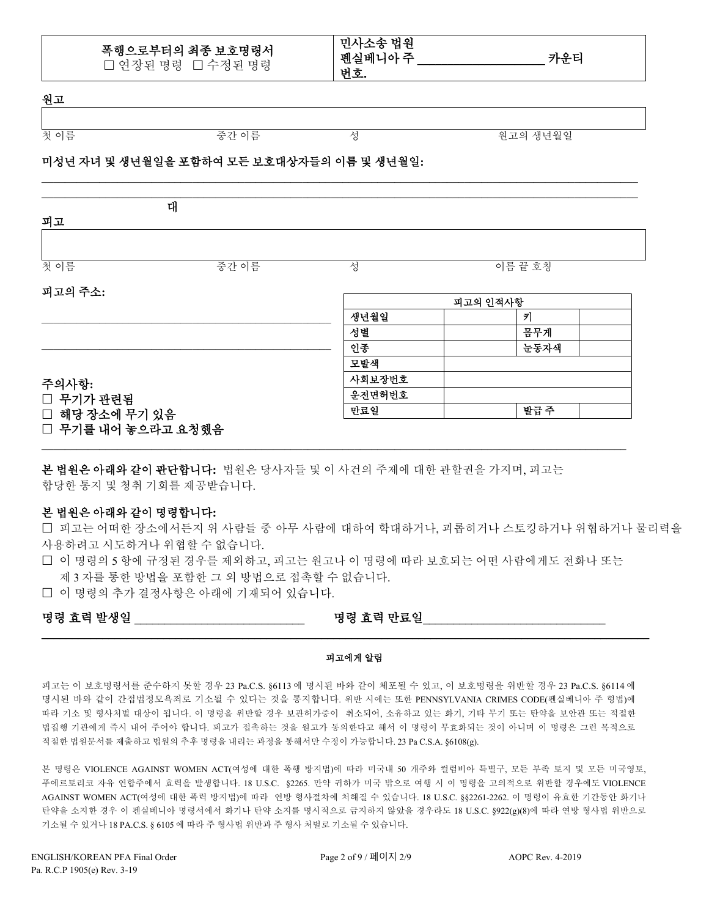| 폭행으로부터의 최종 보호명령서  |
|-------------------|
| □ 연장된 명령 □ 수정된 명령 |

민사소송 법원 펜실베니아 주 **\_\_\_\_\_\_\_\_\_\_\_\_\_\_\_\_\_\_\_\_\_** 카운티 번호**.**

원고

첫 이름 중간 이름 성 원고의 생년월일

# 미성년 자녀 및 생년월일을 포함하여 모든 보호대상자들의 이름 및 생년월일**:**

| 피고             | 대    |          |         |
|----------------|------|----------|---------|
|                |      |          |         |
| 첫이름            | 중간이름 | 성        | 이름 끝 호칭 |
| 피고의 주소:        |      | 피고의 인적사항 |         |
|                |      | 생년월일     | 키       |
|                |      | 성별       | 몸무게     |
|                |      | 인종       | 눈동자색    |
|                |      | 모발색      |         |
| 주의사항:          |      | 사회보장번호   |         |
| □ 무기가 관련됨      |      | 운전면허번호   |         |
| □ 해당 장소에 무기 있음 |      | 만료일      | 발급주     |

\_\_\_\_\_\_\_\_\_\_\_\_\_\_\_\_\_\_\_\_\_\_\_\_\_\_\_\_\_\_\_\_\_\_\_\_\_\_\_\_\_\_\_\_\_\_\_\_\_\_\_\_\_\_\_\_\_\_\_\_\_\_\_\_\_\_\_\_\_\_\_\_\_\_\_\_\_\_\_\_\_\_\_\_\_\_\_\_\_\_\_\_\_\_\_\_\_\_\_\_\_\_\_

본 법원은 아래와 같이 판단합니다**:** 법원은 당사자들 및 이 사건의 주제에 대한 관할권을 가지며, 피고는 합당한 통지 및 청취 기회를 제공받습니다.

## 본 법원은 아래와 같이 명령합니다**:**

 피고는 어떠한 장소에서든지 위 사람들 중 아무 사람에 대하여 학대하거나, 괴롭히거나 스토킹하거나 위협하거나 물리력을 사용하려고 시도하거나 위협할 수 없습니다.

 이 명령의 5 항에 규정된 경우를 제외하고, 피고는 원고나 이 명령에 따라 보호되는 어떤 사람에게도 전화나 또는 제 3 자를 통한 방법을 포함한 그 외 방법으로 접촉할 수 없습니다.

 $\mathcal{L}_\mathcal{L} = \{ \mathcal{L}_\mathcal{L} = \{ \mathcal{L}_\mathcal{L} = \{ \mathcal{L}_\mathcal{L} = \{ \mathcal{L}_\mathcal{L} = \{ \mathcal{L}_\mathcal{L} = \{ \mathcal{L}_\mathcal{L} = \{ \mathcal{L}_\mathcal{L} = \{ \mathcal{L}_\mathcal{L} = \{ \mathcal{L}_\mathcal{L} = \{ \mathcal{L}_\mathcal{L} = \{ \mathcal{L}_\mathcal{L} = \{ \mathcal{L}_\mathcal{L} = \{ \mathcal{L}_\mathcal{L} = \{ \mathcal{L}_\mathcal{$ 

이 명령의 추가 결정사항은 아래에 기재되어 있습니다.

# 명령 효력 발생일 \_\_\_\_\_\_\_\_\_\_\_\_\_\_\_\_\_\_\_\_\_\_\_\_\_\_\_\_ 명령 효력 만료일\_\_\_\_\_\_\_\_\_\_\_\_\_\_\_\_\_\_\_\_\_\_\_\_\_\_\_\_\_\_

#### 피고에게 알림

**\_\_\_\_\_\_\_\_\_\_\_\_\_\_\_\_\_\_\_\_\_\_\_\_\_\_\_\_\_\_\_\_\_\_\_\_\_\_\_\_\_\_\_\_\_\_\_\_\_\_\_\_\_\_\_\_\_\_\_\_\_\_\_\_\_\_\_\_\_\_\_\_\_\_\_\_\_\_\_\_\_\_\_\_\_\_\_\_\_\_\_\_\_\_\_\_\_\_\_\_**

피고는 이 보호명령서를 준수하지 못할 경우 23 Pa.C.S. §6113 에 명시된 바와 같이 체포될 수 있고, 이 보호명령을 위반할 경우 23 Pa.C.S. §6114 에 명시된 바와 같이 간접법정모욕죄로 기소될 수 있다는 것을 통지합니다. 위반 시에는 또한 PENNSYLVANIA CRIMES CODE(펜실베니아 주 형법)에 따라 기소 및 형사처벌 대상이 됩니다. 이 명령을 위반할 경우 보관허가증이 취소되어, 소유하고 있는 화기, 기타 무기 또는 탄약을 보안관 또는 적절한 법집행 기관에게 즉시 내어 주어야 합니다. 피고가 접촉하는 것을 원고가 동의한다고 해서 이 명령이 무효화되는 것이 아니며 이 명령은 그런 목적으로 적절한 법원문서를 제출하고 법원의 추후 명령을 내리는 과정을 통해서만 수정이 가능합니다. 23 Pa C.S.A. §6108(g).

본 명령은 VIOLENCE AGAINST WOMEN ACT(여성에 대한 폭행 방지법)에 따라 미국내 50 개주와 컬럼비아 특별구, 모든 부족 토지 및 모든 미국영토, 푸에르토리코 자유 연합주에서 효력을 발생합니다. 18 U.S.C. §2265. 만약 귀하가 미국 밖으로 여행 시 이 명령을 고의적으로 위반할 경우에도 VIOLENCE AGAINST WOMEN ACT(여성에 대한 폭력 방지법)에 따라 연방 형사절차에 처해질 수 있습니다. 18 U.S.C. §§2261-2262. 이 명령이 유효한 기간동안 화기나 탄약을 소지한 경우 이 펜실베니아 명령서에서 화기나 탄약 소지를 명시적으로 금지하지 않았을 경우라도 18 U.S.C. §922(g)(8)에 따라 연방 형사법 위반으로 기소될 수 있거나 18 PA.C.S. § 6105 에 따라 주 형사법 위반과 주 형사 처벌로 기소될 수 있습니다.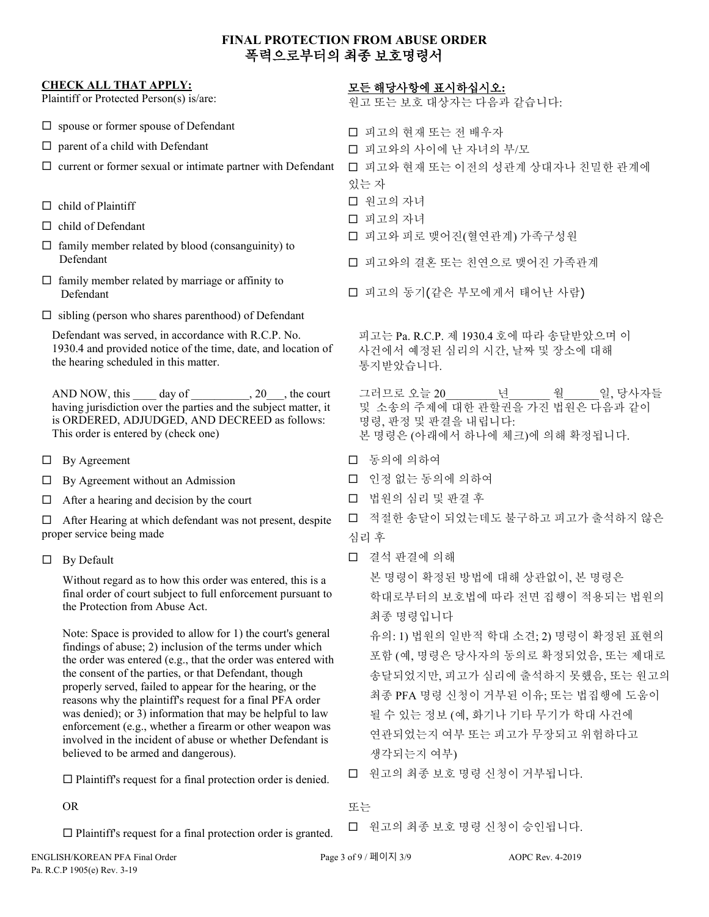# **FINAL PROTECTION FROM ABUSE ORDER** 폭력으로부터의 최종 보호명령서

| <b>CHECK ALL THAT APPLY:</b><br>Plaintiff or Protected Person(s) is/are:                                                                                                                                                   | 모든 해당사항에 표시하십시오:<br>원고 또는 보호 대상자는 다음과 같습니다:                                                                             |
|----------------------------------------------------------------------------------------------------------------------------------------------------------------------------------------------------------------------------|-------------------------------------------------------------------------------------------------------------------------|
| $\Box$ spouse or former spouse of Defendant                                                                                                                                                                                | □ 피고의 현재 또는 전 배우자                                                                                                       |
| $\Box$ parent of a child with Defendant                                                                                                                                                                                    | □ 피고와의 사이에 난 자녀의 부/모                                                                                                    |
| $\Box$ current or former sexual or intimate partner with Defendant                                                                                                                                                         | □ 피고와 현재 또는 이전의 성관계 상대자나 친밀한 관계에                                                                                        |
|                                                                                                                                                                                                                            | 있는 자                                                                                                                    |
| $\Box$ child of Plaintiff                                                                                                                                                                                                  | □ 원고의 자녀                                                                                                                |
| $\Box$ child of Defendant                                                                                                                                                                                                  | □ 피고의 자녀                                                                                                                |
| $\Box$ family member related by blood (consanguinity) to<br>Defendant                                                                                                                                                      | □ 피고와 피로 맺어진(혈연관계) 가족구성원<br>□ 피고와의 결혼 또는 친연으로 맺어진 가족관계                                                                  |
| $\Box$ family member related by marriage or affinity to<br>Defendant                                                                                                                                                       | □ 피고의 동기(같은 부모에게서 태어난 사람)                                                                                               |
| $\Box$ sibling (person who shares parenthood) of Defendant                                                                                                                                                                 |                                                                                                                         |
| Defendant was served, in accordance with R.C.P. No.<br>1930.4 and provided notice of the time, date, and location of<br>the hearing scheduled in this matter.                                                              | 피고는 Pa. R.C.P. 제 1930.4 호에 따라 송달받았으며 이<br>사건에서 예정된 심리의 시간, 날짜 및 장소에 대해<br>통지받았습니다.                                      |
| AND NOW, this ______ day of ___________, 20___, the court<br>having jurisdiction over the parties and the subject matter, it<br>is ORDERED, ADJUDGED, AND DECREED as follows:<br>This order is entered by (check one)      | 그러므로 오늘 20<br>년<br>월 일, 당사자들<br>및 소송의 주제에 대한 관할권을 가진 법원은 다음과 같이<br>명령, 판정 및 판결을 내립니다:<br>본 명령은 (아래에서 하나에 체크)에 의해 확정됩니다. |
| By Agreement<br>Ц                                                                                                                                                                                                          | □ 동의에 의하여                                                                                                               |
| By Agreement without an Admission<br>ш                                                                                                                                                                                     | □ 인정 없는 동의에 의하여                                                                                                         |
| After a hearing and decision by the court<br>⊔                                                                                                                                                                             | □ 법원의 심리 및 판결 후                                                                                                         |
| After Hearing at which defendant was not present, despite<br>□<br>proper service being made                                                                                                                                | 적절한 송달이 되었는데도 불구하고 피고가 출석하지 않은<br>$\Box$<br>심리 후                                                                        |
| By Default<br>$\Box$                                                                                                                                                                                                       | □ 결석 판결에 의해                                                                                                             |
| Without regard as to how this order was entered, this is a                                                                                                                                                                 | 본 명령이 확정된 방법에 대해 상관없이, 본 명령은                                                                                            |
| final order of court subject to full enforcement pursuant to<br>the Protection from Abuse Act.                                                                                                                             | 학대로부터의 보호법에 따라 전면 집행이 적용되는 법원의                                                                                          |
|                                                                                                                                                                                                                            | 최종 명령입니다                                                                                                                |
| Note: Space is provided to allow for 1) the court's general<br>findings of abuse; 2) inclusion of the terms under which                                                                                                    | 유의: 1) 법원의 일반적 학대 소견; 2) 명령이 확정된 표현의                                                                                    |
| the order was entered (e.g., that the order was entered with                                                                                                                                                               | 포함 (예, 명령은 당사자의 동의로 확정되었음, 또는 제대로                                                                                       |
| the consent of the parties, or that Defendant, though<br>properly served, failed to appear for the hearing, or the                                                                                                         | 송달되었지만, 피고가 심리에 출석하지 못했음, 또는 원고의                                                                                        |
| reasons why the plaintiff's request for a final PFA order                                                                                                                                                                  | 최종 PFA 명령 신청이 거부된 이유; 또는 법집행에 도움이                                                                                       |
| was denied); or 3) information that may be helpful to law<br>enforcement (e.g., whether a firearm or other weapon was<br>involved in the incident of abuse or whether Defendant is<br>believed to be armed and dangerous). | 될 수 있는 정보 (예, 화기나 기타 무기가 학대 사건에                                                                                         |
|                                                                                                                                                                                                                            | 연관되었는지 여부 또는 피고가 무장되고 위험하다고                                                                                             |
|                                                                                                                                                                                                                            | 생각되는지 여부)                                                                                                               |
| $\Box$ Plaintiff's request for a final protection order is denied.                                                                                                                                                         | 원고의 최종 보호 명령 신청이 거부됩니다.<br>$\Box$                                                                                       |
| <b>OR</b>                                                                                                                                                                                                                  | 또는                                                                                                                      |
| $\Box$ Plaintiff's request for a final protection order is granted.                                                                                                                                                        | □ 원고의 최종 보호 명령 신청이 승인됩니다.                                                                                               |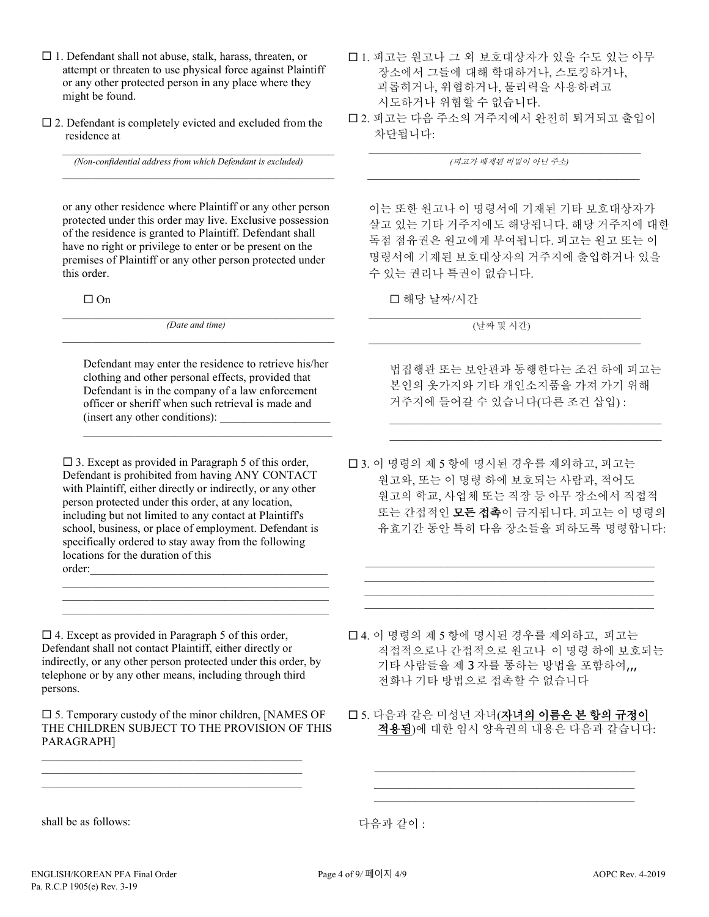- $\Box$  1. Defendant shall not abuse, stalk, harass, threaten, or attempt or threaten to use physical force against Plaintiff or any other protected person in any place where they might be found.
- $\square$  2. Defendant is completely evicted and excluded from the residence at

 $\_$  ,  $\_$  ,  $\_$  ,  $\_$  ,  $\_$  ,  $\_$  ,  $\_$  ,  $\_$  ,  $\_$  ,  $\_$  ,  $\_$  ,  $\_$  ,  $\_$  ,  $\_$  ,  $\_$  ,  $\_$ *(Non-confidential address from which Defendant is excluded)*

or any other residence where Plaintiff or any other person protected under this order may live. Exclusive possession of the residence is granted to Plaintiff. Defendant shall have no right or privilege to enter or be present on the premises of Plaintiff or any other person protected under this order.

 $\mathcal{L}_\mathcal{L}$  , and the set of the set of the set of the set of the set of the set of the set of the set of the set of the set of the set of the set of the set of the set of the set of the set of the set of the set of th

 $\Box$  On

 $\_$  , and the set of the set of the set of the set of the set of the set of the set of the set of the set of the set of the set of the set of the set of the set of the set of the set of the set of the set of the set of th *(Date and time)*  $\mathcal{L}_\mathcal{L}$  , and the set of the set of the set of the set of the set of the set of the set of the set of the set of the set of the set of the set of the set of the set of the set of the set of the set of the set of th

Defendant may enter the residence to retrieve his/her clothing and other personal effects, provided that Defendant is in the company of a law enforcement officer or sheriff when such retrieval is made and (insert any other conditions):

 $\_$  . The contribution of the contribution of  $\mathcal{L}_\mathcal{A}$ 

 $\square$  3. Except as provided in Paragraph 5 of this order, Defendant is prohibited from having ANY CONTACT with Plaintiff, either directly or indirectly, or any other person protected under this order, at any location, including but not limited to any contact at Plaintiff's school, business, or place of employment. Defendant is specifically ordered to stay away from the following locations for the duration of this order:

 $\mathcal{L}_\text{max}$  and  $\mathcal{L}_\text{max}$  and  $\mathcal{L}_\text{max}$  and  $\mathcal{L}_\text{max}$  and  $\mathcal{L}_\text{max}$  $\mathcal{L}_\text{max}$  and  $\mathcal{L}_\text{max}$  and  $\mathcal{L}_\text{max}$  and  $\mathcal{L}_\text{max}$  and  $\mathcal{L}_\text{max}$  $\mathcal{L}_\mathcal{L}$  , and the set of the set of the set of the set of the set of the set of the set of the set of the set of the set of the set of the set of the set of the set of the set of the set of the set of the set of th

 $\square$  4. Except as provided in Paragraph 5 of this order, Defendant shall not contact Plaintiff, either directly or indirectly, or any other person protected under this order, by telephone or by any other means, including through third persons.

 $\square$  5. Temporary custody of the minor children, [NAMES OF THE CHILDREN SUBJECT TO THE PROVISION OF THIS PARAGRAPH]

\_\_\_\_\_\_\_\_\_\_\_\_\_\_\_\_\_\_\_\_\_\_\_\_\_\_\_\_\_\_\_\_\_\_\_\_\_\_\_\_\_\_\_\_\_ \_\_\_\_\_\_\_\_\_\_\_\_\_\_\_\_\_\_\_\_\_\_\_\_\_\_\_\_\_\_\_\_\_\_\_\_\_\_\_\_\_\_\_\_\_ \_\_\_\_\_\_\_\_\_\_\_\_\_\_\_\_\_\_\_\_\_\_\_\_\_\_\_\_\_\_\_\_\_\_\_\_\_\_\_\_\_\_\_\_\_

- 1. 피고는 원고나 그 외 보호대상자가 있을 수도 있는 아무 장소에서 그들에 대해 학대하거나, 스토킹하거나, 괴롭히거나, 위협하거나, 물리력을 사용하려고 시도하거나 위협할 수 없습니다.
- 2. 피고는 다음 주소의 거주지에서 완전히 퇴거되고 출입이 차단됩니다:

 $\mathcal{L}_\mathcal{L} = \{ \mathcal{L}_\mathcal{L} = \{ \mathcal{L}_\mathcal{L} = \{ \mathcal{L}_\mathcal{L} = \{ \mathcal{L}_\mathcal{L} = \{ \mathcal{L}_\mathcal{L} = \{ \mathcal{L}_\mathcal{L} = \{ \mathcal{L}_\mathcal{L} = \{ \mathcal{L}_\mathcal{L} = \{ \mathcal{L}_\mathcal{L} = \{ \mathcal{L}_\mathcal{L} = \{ \mathcal{L}_\mathcal{L} = \{ \mathcal{L}_\mathcal{L} = \{ \mathcal{L}_\mathcal{L} = \{ \mathcal{L}_\mathcal{$ *(*피고가 배제된 비밀이 아닌 주소*)*  $\_$  , and the set of the set of the set of the set of the set of the set of the set of the set of the set of the set of the set of the set of the set of the set of the set of the set of the set of the set of the set of th

이는 또한 원고나 이 명령서에 기재된 기타 보호대상자가 살고 있는 기타 거주지에도 해당됩니다. 해당 거주지에 대한 독점 점유권은 원고에게 부여됩니다. 피고는 원고 또는 이 명령서에 기재된 보호대상자의 거주지에 출입하거나 있을 수 있는 권리나 특권이 없습니다.

해당 날짜/시간

 $\mathcal{L}_\mathcal{L} = \{ \mathcal{L}_\mathcal{L} = \{ \mathcal{L}_\mathcal{L} = \{ \mathcal{L}_\mathcal{L} = \{ \mathcal{L}_\mathcal{L} = \{ \mathcal{L}_\mathcal{L} = \{ \mathcal{L}_\mathcal{L} = \{ \mathcal{L}_\mathcal{L} = \{ \mathcal{L}_\mathcal{L} = \{ \mathcal{L}_\mathcal{L} = \{ \mathcal{L}_\mathcal{L} = \{ \mathcal{L}_\mathcal{L} = \{ \mathcal{L}_\mathcal{L} = \{ \mathcal{L}_\mathcal{L} = \{ \mathcal{L}_\mathcal{$ (날짜 및 시간) \_\_\_\_\_\_\_\_\_\_\_\_\_\_\_\_\_\_\_\_\_\_\_\_\_\_\_\_\_\_\_\_\_\_\_\_\_\_\_\_\_\_\_\_\_\_\_

법집행관 또는 보안관과 동행한다는 조건 하에 피고는 본인의 옷가지와 기타 개인소지품을 가져 가기 위해 거주지에 들어갈 수 있습니다(다른 조건 삽입) :

\_\_\_\_\_\_\_\_\_\_\_\_\_\_\_\_\_\_\_\_\_\_\_\_\_\_\_\_\_\_\_\_\_\_\_\_\_\_\_\_\_\_\_\_\_\_\_ \_\_\_\_\_\_\_\_\_\_\_\_\_\_\_\_\_\_\_\_\_\_\_\_\_\_\_\_\_\_\_\_\_\_\_\_\_\_\_\_\_\_\_\_\_\_\_

 3. 이 명령의 제 5 항에 명시된 경우를 제외하고, 피고는 원고와, 또는 이 명령 하에 보호되는 사람과, 적어도 원고의 학교, 사업체 또는 직장 등 아무 장소에서 직접적 또는 간접적인 모든 접촉이 금지됩니다. 피고는 이 명령의 유효기간 동안 특히 다음 장소들을 피하도록 명령합니다:

 $\mathcal{L}_\text{max} = \frac{1}{2} \sum_{i=1}^{n} \frac{1}{2} \sum_{i=1}^{n} \frac{1}{2} \sum_{i=1}^{n} \frac{1}{2} \sum_{i=1}^{n} \frac{1}{2} \sum_{i=1}^{n} \frac{1}{2} \sum_{i=1}^{n} \frac{1}{2} \sum_{i=1}^{n} \frac{1}{2} \sum_{i=1}^{n} \frac{1}{2} \sum_{i=1}^{n} \frac{1}{2} \sum_{i=1}^{n} \frac{1}{2} \sum_{i=1}^{n} \frac{1}{2} \sum_{i=1}^{n} \frac{1$ \_\_\_\_\_\_\_\_\_\_\_\_\_\_\_\_\_\_\_\_\_\_\_\_\_\_\_\_\_\_\_\_\_\_\_\_\_\_\_\_\_\_\_\_\_\_\_\_\_\_ \_\_\_\_\_\_\_\_\_\_\_\_\_\_\_\_\_\_\_\_\_\_\_\_\_\_\_\_\_\_\_\_\_\_\_\_\_\_\_\_\_\_\_\_\_\_\_\_\_\_ \_\_\_\_\_\_\_\_\_\_\_\_\_\_\_\_\_\_\_\_\_\_\_\_\_\_\_\_\_\_\_\_\_\_\_\_\_\_\_\_\_\_\_\_\_\_\_\_\_\_

- 4. 이 명령의 제 5 항에 명시된 경우를 제외하고, 피고는 직접적으로나 간접적으로 원고나 이 명령 하에 보호되는 기타 사람들을 제 3 자를 통하는 방법을 포함하여,,, 전화나 기타 방법으로 접촉할 수 없습니다
- 5. 다음과 같은 미성년 자녀(자녀의 이름은 본 항의 규정이 적용됨)에 대한 임시 양육권의 내용은 다음과 같습니다:

 $\mathcal{L}_\text{max}$  and  $\mathcal{L}_\text{max}$  and  $\mathcal{L}_\text{max}$  and  $\mathcal{L}_\text{max}$ \_\_\_\_\_\_\_\_\_\_\_\_\_\_\_\_\_\_\_\_\_\_\_\_\_\_\_\_\_\_\_\_\_\_\_\_\_\_\_\_\_\_\_\_\_ \_\_\_\_\_\_\_\_\_\_\_\_\_\_\_\_\_\_\_\_\_\_\_\_\_\_\_\_\_\_\_\_\_\_\_\_\_\_\_\_\_\_\_\_\_

shall be as follows:

다음과 같이 :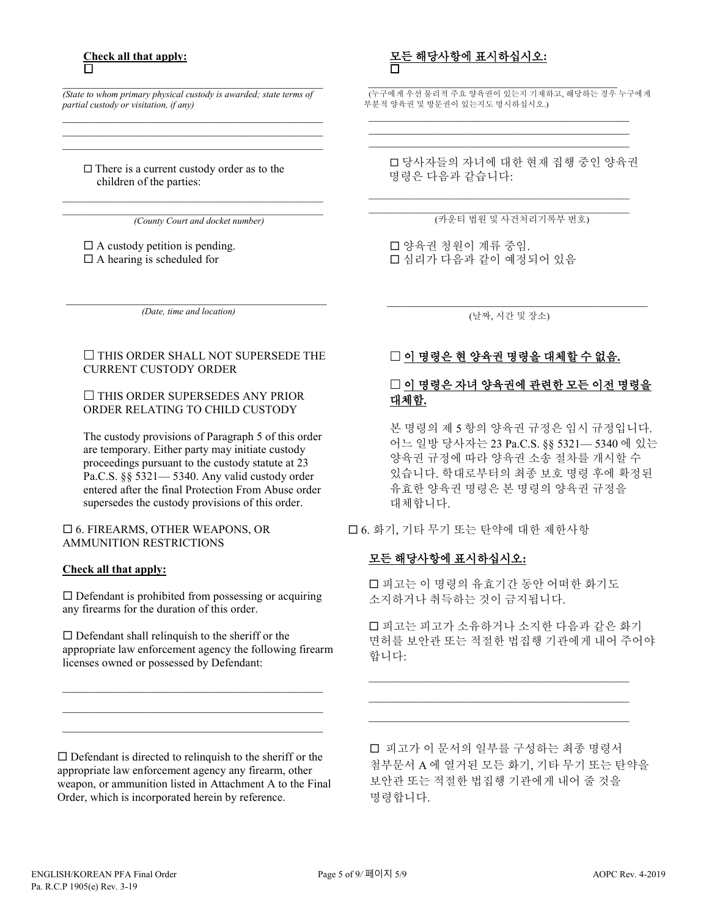#### **Check all that apply:** П

 $\mathcal{L}_\text{max}$  and  $\mathcal{L}_\text{max}$  and  $\mathcal{L}_\text{max}$  and  $\mathcal{L}_\text{max}$  and  $\mathcal{L}_\text{max}$ *(State to whom primary physical custody is awarded; state terms of partial custody or visitation, if any)* \_\_\_\_\_\_\_\_\_\_\_\_\_\_\_\_\_\_\_\_\_\_\_\_\_\_\_\_\_\_\_\_\_\_\_\_\_\_\_\_\_\_\_\_\_

\_\_\_\_\_\_\_\_\_\_\_\_\_\_\_\_\_\_\_\_\_\_\_\_\_\_\_\_\_\_\_\_\_\_\_\_\_\_\_\_\_\_\_\_\_  $\mathcal{L}_\text{max}$  and  $\mathcal{L}_\text{max}$  and  $\mathcal{L}_\text{max}$  and  $\mathcal{L}_\text{max}$  and  $\mathcal{L}_\text{max}$ 

 $\Box$  There is a current custody order as to the children of the parties:

\_\_\_\_\_\_\_\_\_\_\_\_\_\_\_\_\_\_\_\_\_\_\_\_\_\_\_\_\_\_\_\_\_\_\_\_\_\_\_\_\_\_\_\_\_\_\_\_\_\_ *(County Court and docket number)*

 $\Box$  A custody petition is pending.  $\Box$  A hearing is scheduled for

\_\_\_\_\_\_\_\_\_\_\_\_\_\_\_\_\_\_\_\_\_\_\_\_\_\_\_\_\_\_\_\_\_\_\_\_\_\_\_\_\_\_\_\_\_ *(Date, time and location)*

## $\Box$  THIS ORDER SHALL NOT SUPERSEDE THE CURRENT CUSTODY ORDER

#### $\Box$  THIS ORDER SUPERSEDES ANY PRIOR ORDER RELATING TO CHILD CUSTODY

The custody provisions of Paragraph 5 of this order are temporary. Either party may initiate custody proceedings pursuant to the custody statute at 23 Pa.C.S. §§ 5321— 5340. Any valid custody order entered after the final Protection From Abuse order supersedes the custody provisions of this order.

#### 6. FIREARMS, OTHER WEAPONS, OR AMMUNITION RESTRICTIONS

#### **Check all that apply:**

 $\square$  Defendant is prohibited from possessing or acquiring any firearms for the duration of this order.

 $\square$  Defendant shall relinquish to the sheriff or the appropriate law enforcement agency the following firearm licenses owned or possessed by Defendant:

\_\_\_\_\_\_\_\_\_\_\_\_\_\_\_\_\_\_\_\_\_\_\_\_\_\_\_\_\_\_\_\_\_\_\_\_\_\_\_\_\_\_\_\_\_ \_\_\_\_\_\_\_\_\_\_\_\_\_\_\_\_\_\_\_\_\_\_\_\_\_\_\_\_\_\_\_\_\_\_\_\_\_\_\_\_\_\_\_\_\_ \_\_\_\_\_\_\_\_\_\_\_\_\_\_\_\_\_\_\_\_\_\_\_\_\_\_\_\_\_\_\_\_\_\_\_\_\_\_\_\_\_\_\_\_\_

 $\square$  Defendant is directed to relinquish to the sheriff or the appropriate law enforcement agency any firearm, other weapon, or ammunition listed in Attachment A to the Final Order, which is incorporated herein by reference.

## 모든 해당사항에 표시하십시오**:**  $\Box$

 \_\_\_\_\_\_\_\_\_\_\_\_\_\_\_\_\_\_\_\_\_\_\_\_\_\_\_\_\_\_\_\_\_\_\_\_\_\_\_\_\_\_\_ (누구에게 우선 물리적 주요 양육권이 있는지 기재하고, 해당하는 경우 누구에게 부분적 양육권 및 방문권이 있는지도 명시하십시오.) \_\_\_\_\_\_\_\_\_\_\_\_\_\_\_\_\_\_\_\_\_\_\_\_\_\_\_\_\_\_\_\_\_\_\_\_\_\_\_\_\_\_\_\_\_

\_\_\_\_\_\_\_\_\_\_\_\_\_\_\_\_\_\_\_\_\_\_\_\_\_\_\_\_\_\_\_\_\_\_\_\_\_\_\_\_\_\_\_\_\_ \_\_\_\_\_\_\_\_\_\_\_\_\_\_\_\_\_\_\_\_\_\_\_\_\_\_\_\_\_\_\_\_\_\_\_\_\_\_\_\_\_\_\_\_\_

\_\_\_\_\_\_\_\_\_\_\_\_\_\_\_\_\_\_\_\_\_\_\_\_\_\_\_\_\_\_\_\_\_\_\_\_\_\_\_\_\_\_\_\_\_\_\_\_\_\_

 당사자들의 자녀에 대한 현재 집행 중인 양육권 명령은 다음과 같습니다:

\_\_\_\_\_\_\_\_\_\_\_\_\_\_\_\_\_\_\_\_\_\_\_\_\_\_\_\_\_\_\_\_\_\_\_\_\_\_\_\_\_\_\_\_\_\_\_\_\_\_ (카운티 법원 및 사건처리기록부 번호)

 양육권 청원이 계류 중임. 심리가 다음과 같이 예정되어 있음

(날짜, 시간 및 장소)

 $\overline{a}$  , and the set of the set of the set of the set of the set of the set of the set of the set of the set of the set of the set of the set of the set of the set of the set of the set of the set of the set of the set

# 이 명령은 현 양육권 명령을 대체할 수 없음**.**

# □ 이 명령은 자녀 양육권에 관련한 모든 이전 명령을 대체함**.**

본 명령의 제 5 항의 양육권 규정은 임시 규정입니다. 어느 일방 당사자는 23 Pa.C.S. §§ 5321— 5340 에 있는 양육권 규정에 따라 양육권 소송 절차를 개시할 수 있습니다. 학대로부터의 최종 보호 명령 후에 확정된 유효한 양육권 명령은 본 명령의 양육권 규정을 대체합니다.

## 6. 화기, 기타 무기 또는 탄약에 대한 제한사항

# 모든 해당사항에 표시하십시오**:**

 피고는 이 명령의 유효기간 동안 어떠한 화기도 소지하거나 취득하는 것이 금지됩니다.

\_\_\_\_\_\_\_\_\_\_\_\_\_\_\_\_\_\_\_\_\_\_\_\_\_\_\_\_\_\_\_\_\_\_\_\_\_\_\_\_\_\_\_\_\_ \_\_\_\_\_\_\_\_\_\_\_\_\_\_\_\_\_\_\_\_\_\_\_\_\_\_\_\_\_\_\_\_\_\_\_\_\_\_\_\_\_\_\_\_\_ \_\_\_\_\_\_\_\_\_\_\_\_\_\_\_\_\_\_\_\_\_\_\_\_\_\_\_\_\_\_\_\_\_\_\_\_\_\_\_\_\_\_\_\_\_

 피고는 피고가 소유하거나 소지한 다음과 같은 화기 면허를 보안관 또는 적절한 법집행 기관에게 내어 주어야 합니다:

 피고가 이 문서의 일부를 구성하는 최종 명령서 첨부문서 A 에 열거된 모든 화기, 기타 무기 또는 탄약을 보안관 또는 적절한 법집행 기관에게 내어 줄 것을 명령합니다.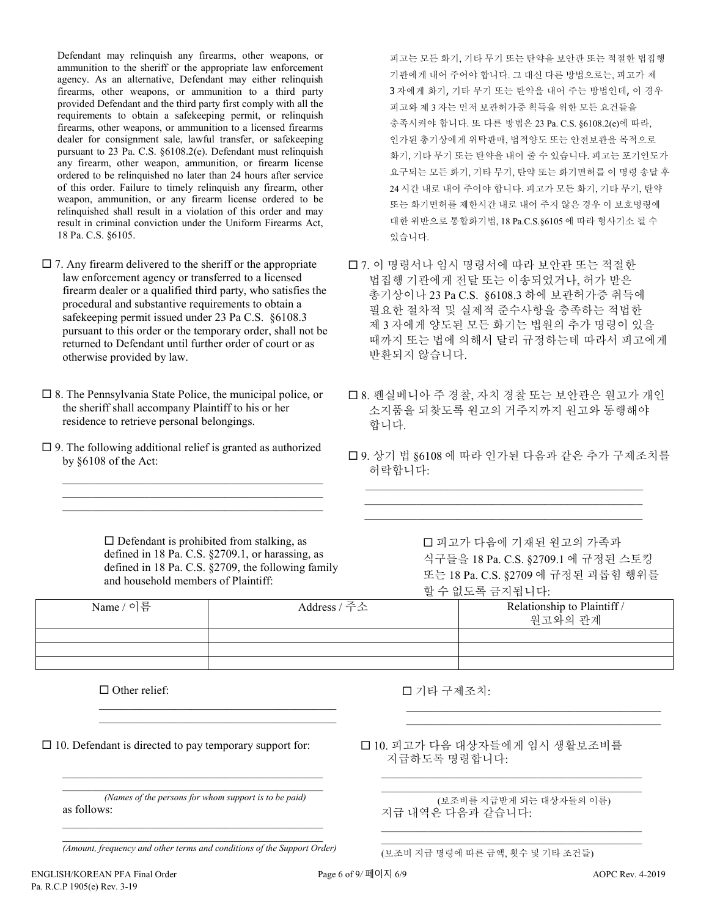Defendant may relinquish any firearms, other weapons, or ammunition to the sheriff or the appropriate law enforcement agency. As an alternative, Defendant may either relinquish firearms, other weapons, or ammunition to a third party provided Defendant and the third party first comply with all the requirements to obtain a safekeeping permit, or relinquish firearms, other weapons, or ammunition to a licensed firearms dealer for consignment sale, lawful transfer, or safekeeping pursuant to 23 Pa. C.S. §6108.2(e). Defendant must relinquish any firearm, other weapon, ammunition, or firearm license ordered to be relinquished no later than 24 hours after service of this order. Failure to timely relinquish any firearm, other weapon, ammunition, or any firearm license ordered to be relinquished shall result in a violation of this order and may result in criminal conviction under the Uniform Firearms Act, 18 Pa. C.S. §6105.

- $\square$  7. Any firearm delivered to the sheriff or the appropriate law enforcement agency or transferred to a licensed firearm dealer or a qualified third party, who satisfies the procedural and substantive requirements to obtain a safekeeping permit issued under 23 Pa C.S. §6108.3 pursuant to this order or the temporary order, shall not be returned to Defendant until further order of court or as otherwise provided by law.
- $\square$  8. The Pennsylvania State Police, the municipal police, or the sheriff shall accompany Plaintiff to his or her residence to retrieve personal belongings.
- $\Box$  9. The following additional relief is granted as authorized by §6108 of the Act:

 $\mathcal{L}_\text{max}$  and  $\mathcal{L}_\text{max}$  and  $\mathcal{L}_\text{max}$  and  $\mathcal{L}_\text{max}$  and  $\mathcal{L}_\text{max}$ \_\_\_\_\_\_\_\_\_\_\_\_\_\_\_\_\_\_\_\_\_\_\_\_\_\_\_\_\_\_\_\_\_\_\_\_\_\_\_\_\_\_\_\_\_ \_\_\_\_\_\_\_\_\_\_\_\_\_\_\_\_\_\_\_\_\_\_\_\_\_\_\_\_\_\_\_\_\_\_\_\_\_\_\_\_\_\_\_\_\_ 피고는 모든 화기, 기타 무기 또는 탄약을 보안관 또는 적절한 법집행 기관에게 내어 주어야 합니다. 그 대신 다른 방법으로는, 피고가 제 3 자에게 화기, 기타 무기 또는 탄약을 내어 주는 방법인데, 이 경우 피고와 제 3 자는 먼저 보관허가증 획득을 위한 모든 요건들을 충족시켜야 합니다. 또 다른 방법은 23 Pa. C.S. §6108.2(e)에 따라, 인가된 총기상에게 위탁판매, 법적양도 또는 안전보관을 목적으로 화기, 기타 무기 또는 탄약을 내어 줄 수 있습니다. 피고는 포기인도가 요구되는 모든 화기, 기타 무기, 탄약 또는 화기면허를 이 명령 송달 후 24 시간 내로 내어 주어야 합니다. 피고가 모든 화기, 기타 무기, 탄약 또는 화기면허를 제한시간 내로 내어 주지 않은 경우 이 보호명령에 대한 위반으로 통합화기법, 18 Pa.C.S.§6105 에 따라 형사기소 될 수 있습니다.

- 7. 이 명령서나 임시 명령서에 따라 보안관 또는 적절한 법집행 기관에게 전달 또는 이송되었거나, 허가 받은 총기상이나 23 Pa C.S. §6108.3 하에 보관허가증 취득에 필요한 절차적 및 실제적 준수사항을 충족하는 적법한 제 3 자에게 양도된 모든 화기는 법원의 추가 명령이 있을 때까지 또는 법에 의해서 달리 규정하는데 따라서 피고에게 반환되지 않습니다.
- 8. 펜실베니아 주 경찰, 자치 경찰 또는 보안관은 원고가 개인 소지품을 되찾도록 원고의 거주지까지 원고와 동행해야 합니다.
- 9. 상기 법 §6108 에 따라 인가된 다음과 같은 추가 구제조치를 허락합니다:

 $\mathcal{L}_\text{max}$  , and the set of the set of the set of the set of the set of the set of the set of the set of the set of the set of the set of the set of the set of the set of the set of the set of the set of the set of the \_\_\_\_\_\_\_\_\_\_\_\_\_\_\_\_\_\_\_\_\_\_\_\_\_\_\_\_\_\_\_\_\_\_\_\_\_\_\_\_\_\_\_\_\_\_\_\_  $\mathcal{L}_\mathcal{L} = \{ \mathcal{L}_\mathcal{L} = \{ \mathcal{L}_\mathcal{L} = \{ \mathcal{L}_\mathcal{L} = \{ \mathcal{L}_\mathcal{L} = \{ \mathcal{L}_\mathcal{L} = \{ \mathcal{L}_\mathcal{L} = \{ \mathcal{L}_\mathcal{L} = \{ \mathcal{L}_\mathcal{L} = \{ \mathcal{L}_\mathcal{L} = \{ \mathcal{L}_\mathcal{L} = \{ \mathcal{L}_\mathcal{L} = \{ \mathcal{L}_\mathcal{L} = \{ \mathcal{L}_\mathcal{L} = \{ \mathcal{L}_\mathcal{$ 

 $\square$  Defendant is prohibited from stalking, as defined in 18 Pa. C.S. §2709.1, or harassing, as defined in 18 Pa. C.S. §2709, the following family and household members of Plaintiff:

 $\mathcal{L}_\mathcal{L}$  , and the set of the set of the set of the set of the set of the set of the set of the set of the set of the set of the set of the set of the set of the set of the set of the set of the set of the set of th  $\mathcal{L}_\mathcal{L}$  , and the set of the set of the set of the set of the set of the set of the set of the set of the set of the set of the set of the set of the set of the set of the set of the set of the set of the set of th  피고가 다음에 기재된 원고의 가족과 식구들을 18 Pa. C.S. §2709.1 에 규정된 스토킹 또는 18 Pa. C.S. §2709 에 규정된 괴롭힘 행위를 할 수 없도록 금지됩니다:

 $\mathcal{L}_\text{max}$  and  $\mathcal{L}_\text{max}$  and  $\mathcal{L}_\text{max}$  and  $\mathcal{L}_\text{max}$  and  $\mathcal{L}_\text{max}$  $\mathcal{L}_\mathcal{L}$  , and the set of the set of the set of the set of the set of the set of the set of the set of the set of the set of the set of the set of the set of the set of the set of the set of the set of the set of th

|           | □ ا          |                                        |  |
|-----------|--------------|----------------------------------------|--|
| Name / 이름 | Address / 주소 | Relationship to Plaintiff /<br>원고와의 관계 |  |
|           |              |                                        |  |
|           |              |                                        |  |
|           |              |                                        |  |

 $\Box$  Other relief:

 $\Box$  10. Defendant is directed to pay temporary support for:

\_\_\_\_\_\_\_\_\_\_\_\_\_\_\_\_\_\_\_\_\_\_\_\_\_\_\_\_\_\_\_\_\_\_\_\_\_\_\_\_\_\_\_\_\_ *(Names of the persons for whom support is to be paid)* as follows: \_\_\_\_\_\_\_\_\_\_\_\_\_\_\_\_\_\_\_\_\_\_\_\_\_\_\_\_\_\_\_\_\_\_\_\_\_\_\_\_\_\_\_\_\_

\_\_\_\_\_\_\_\_\_\_\_\_\_\_\_\_\_\_\_\_\_\_\_\_\_\_\_\_\_\_\_\_\_\_\_\_\_\_\_\_\_\_\_\_\_

\_\_\_\_\_\_\_\_\_\_\_\_\_\_\_\_\_\_\_\_\_\_\_\_\_\_\_\_\_\_\_\_\_\_\_\_\_\_\_\_\_\_\_\_\_ *(Amount, frequency and other terms and conditions of the Support Order)* 기타 구제조치:

 10. 피고가 다음 대상자들에게 임시 생활보조비를 지급하도록 명령합니다:

(보조비를 지급받게 되는 대상자들의 이름) 지급 내역은 다음과 같습니다:

 $\overline{a_1}$  ,  $\overline{a_2}$  ,  $\overline{a_3}$  ,  $\overline{a_4}$  ,  $\overline{a_5}$  ,  $\overline{a_6}$  ,  $\overline{a_7}$  ,  $\overline{a_8}$  ,  $\overline{a_9}$  ,  $\overline{a_9}$  ,  $\overline{a_9}$  ,  $\overline{a_9}$  ,  $\overline{a_9}$  ,  $\overline{a_9}$  ,  $\overline{a_9}$  ,  $\overline{a_9}$  ,  $\overline{a_9}$  , \_\_\_\_\_\_\_\_\_\_\_\_\_\_\_\_\_\_\_\_\_\_\_\_\_\_\_\_\_\_\_\_\_\_\_\_\_\_\_\_\_\_\_\_\_

 $\overline{a_1}$  ,  $\overline{a_2}$  ,  $\overline{a_3}$  ,  $\overline{a_4}$  ,  $\overline{a_5}$  ,  $\overline{a_6}$  ,  $\overline{a_7}$  ,  $\overline{a_8}$  ,  $\overline{a_9}$  ,  $\overline{a_9}$  ,  $\overline{a_9}$  ,  $\overline{a_9}$  ,  $\overline{a_9}$  ,  $\overline{a_9}$  ,  $\overline{a_9}$  ,  $\overline{a_9}$  ,  $\overline{a_9}$  ,  $\_$  ,  $\_$  ,  $\_$  ,  $\_$  ,  $\_$  ,  $\_$  ,  $\_$  ,  $\_$  ,  $\_$  ,  $\_$  ,  $\_$  ,  $\_$  ,  $\_$  ,  $\_$  ,  $\_$  ,  $\_$ 

(보조비 지급 명령에 따른 금액, 횟수 및 기타 조건들)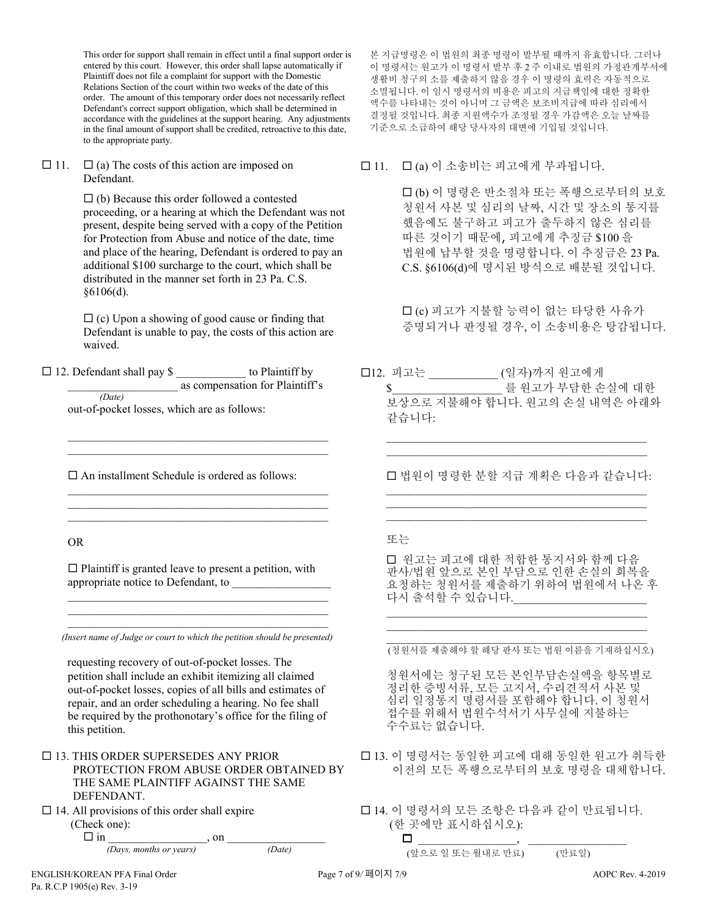This order for support shall remain in effect until a final support order is entered by this court. However, this order shall lapse automatically if Plaintiff does not file a complaint for support with the Domestic Relations Section of the court within two weeks of the date of this order. The amount of this temporary order does not necessarily reflect Defendant's correct support obligation, which shall be determined in accordance with the guidelines at the support hearing. Any adjustments in the final amount of support shall be credited, retroactive to this date, to the appropriate party.

 $\Box$  11.  $\Box$  (a) The costs of this action are imposed on Defendant.

> $\Box$  (b) Because this order followed a contested proceeding, or a hearing at which the Defendant was not present, despite being served with a copy of the Petition for Protection from Abuse and notice of the date, time and place of the hearing, Defendant is ordered to pay an additional \$100 surcharge to the court, which shall be distributed in the manner set forth in 23 Pa. C.S. §6106(d).

 $\Box$  (c) Upon a showing of good cause or finding that Defendant is unable to pay, the costs of this action are waived.

 $\Box$  12. Defendant shall pay \$ to Plaintiff by as compensation for Plaintiff's *(Date)*

out-of-pocket losses, which are as follows:

 $\square$  An installment Schedule is ordered as follows:

 $\mathcal{L}_\mathcal{L} = \{ \mathcal{L}_\mathcal{L} = \{ \mathcal{L}_\mathcal{L} = \{ \mathcal{L}_\mathcal{L} = \{ \mathcal{L}_\mathcal{L} = \{ \mathcal{L}_\mathcal{L} = \{ \mathcal{L}_\mathcal{L} = \{ \mathcal{L}_\mathcal{L} = \{ \mathcal{L}_\mathcal{L} = \{ \mathcal{L}_\mathcal{L} = \{ \mathcal{L}_\mathcal{L} = \{ \mathcal{L}_\mathcal{L} = \{ \mathcal{L}_\mathcal{L} = \{ \mathcal{L}_\mathcal{L} = \{ \mathcal{L}_\mathcal{$ \_\_\_\_\_\_\_\_\_\_\_\_\_\_\_\_\_\_\_\_\_\_\_\_\_\_\_\_\_\_\_\_\_\_\_\_\_\_\_\_\_\_\_\_\_

 $\mathcal{L}_\mathcal{L} = \{ \mathcal{L}_\mathcal{L} = \{ \mathcal{L}_\mathcal{L} = \{ \mathcal{L}_\mathcal{L} = \{ \mathcal{L}_\mathcal{L} = \{ \mathcal{L}_\mathcal{L} = \{ \mathcal{L}_\mathcal{L} = \{ \mathcal{L}_\mathcal{L} = \{ \mathcal{L}_\mathcal{L} = \{ \mathcal{L}_\mathcal{L} = \{ \mathcal{L}_\mathcal{L} = \{ \mathcal{L}_\mathcal{L} = \{ \mathcal{L}_\mathcal{L} = \{ \mathcal{L}_\mathcal{L} = \{ \mathcal{L}_\mathcal{$ \_\_\_\_\_\_\_\_\_\_\_\_\_\_\_\_\_\_\_\_\_\_\_\_\_\_\_\_\_\_\_\_\_\_\_\_\_\_\_\_\_\_\_\_\_  $\mathcal{L}_\mathcal{L} = \{ \mathcal{L}_\mathcal{L} = \{ \mathcal{L}_\mathcal{L} = \{ \mathcal{L}_\mathcal{L} = \{ \mathcal{L}_\mathcal{L} = \{ \mathcal{L}_\mathcal{L} = \{ \mathcal{L}_\mathcal{L} = \{ \mathcal{L}_\mathcal{L} = \{ \mathcal{L}_\mathcal{L} = \{ \mathcal{L}_\mathcal{L} = \{ \mathcal{L}_\mathcal{L} = \{ \mathcal{L}_\mathcal{L} = \{ \mathcal{L}_\mathcal{L} = \{ \mathcal{L}_\mathcal{L} = \{ \mathcal{L}_\mathcal{$ 

OR

 $\square$  Plaintiff is granted leave to present a petition, with appropriate notice to Defendant, to \_\_\_\_\_\_\_\_\_\_\_\_\_\_\_\_\_

 $\mathcal{L}_\mathcal{L} = \{ \mathcal{L}_\mathcal{L} = \{ \mathcal{L}_\mathcal{L} = \{ \mathcal{L}_\mathcal{L} = \{ \mathcal{L}_\mathcal{L} = \{ \mathcal{L}_\mathcal{L} = \{ \mathcal{L}_\mathcal{L} = \{ \mathcal{L}_\mathcal{L} = \{ \mathcal{L}_\mathcal{L} = \{ \mathcal{L}_\mathcal{L} = \{ \mathcal{L}_\mathcal{L} = \{ \mathcal{L}_\mathcal{L} = \{ \mathcal{L}_\mathcal{L} = \{ \mathcal{L}_\mathcal{L} = \{ \mathcal{L}_\mathcal{$  $\mathcal{L}_\mathcal{L} = \{ \mathcal{L}_\mathcal{L} = \{ \mathcal{L}_\mathcal{L} = \{ \mathcal{L}_\mathcal{L} = \{ \mathcal{L}_\mathcal{L} = \{ \mathcal{L}_\mathcal{L} = \{ \mathcal{L}_\mathcal{L} = \{ \mathcal{L}_\mathcal{L} = \{ \mathcal{L}_\mathcal{L} = \{ \mathcal{L}_\mathcal{L} = \{ \mathcal{L}_\mathcal{L} = \{ \mathcal{L}_\mathcal{L} = \{ \mathcal{L}_\mathcal{L} = \{ \mathcal{L}_\mathcal{L} = \{ \mathcal{L}_\mathcal{$ 

\_\_\_\_\_\_\_\_\_\_\_\_\_\_\_\_\_\_\_\_\_\_\_\_\_\_\_\_\_\_\_\_\_\_\_\_\_\_\_\_\_\_\_\_\_ *(Insert name of Judge or court to which the petition should be presented)*

requesting recovery of out-of-pocket losses. The petition shall include an exhibit itemizing all claimed out-of-pocket losses, copies of all bills and estimates of repair, and an order scheduling a hearing. No fee shall be required by the prothonotary's office for the filing of this petition.

- $\Box$  13. THIS ORDER SUPERSEDES ANY PRIOR PROTECTION FROM ABUSE ORDER OBTAINED BY THE SAME PLAINTIFF AGAINST THE SAME DEFENDANT.
- $\Box$  14. All provisions of this order shall expire (Check one):

 in \_\_\_\_\_\_\_\_\_\_\_\_\_\_\_\_\_, on \_\_\_\_\_\_\_\_\_\_\_\_\_\_\_\_\_ *(Days, months or years) (Date)*

 $\Box$  11.  $\Box$  (a) 이 소송비는 피고에게 부과됩니다.

 (b) 이 명령은 반소절차 또는 폭행으로부터의 보호 청원서 사본 및 심리의 날짜, 시간 및 장소의 통지를 했음에도 불구하고 피고가 출두하지 않은 심리를 따른 것이기 때문에, 피고에게 추징금 \$100 을 법원에 납부할 것을 명령합니다. 이 추징금은 23 Pa. C.S. §6106(d)에 명시된 방식으로 배분될 것입니다.

□ (c) 피고가 지불할 능력이 없는 타당한 사유가 증명되거나 판정될 경우, 이 소송비용은 탕감됩니다.

12. 피고는 \_\_\_\_\_\_\_\_\_\_\_\_ (일자)까지 원고에게 \$\_\_\_\_\_\_\_\_\_\_\_\_\_\_\_\_\_\_\_ 를 원고가 부담한 손실에 대한 보상으로 지불해야 합니다. 원고의 손실 내역은 아래와 같습니다:

 법원이 명령한 분할 지급 계획은 다음과 같습니다: \_\_\_\_\_\_\_\_\_\_\_\_\_\_\_\_\_\_\_\_\_\_\_\_\_\_\_\_\_\_\_\_\_\_\_\_\_\_\_\_\_\_\_\_\_

\_\_\_\_\_\_\_\_\_\_\_\_\_\_\_\_\_\_\_\_\_\_\_\_\_\_\_\_\_\_\_\_\_\_\_\_\_\_\_\_\_\_\_\_\_ \_\_\_\_\_\_\_\_\_\_\_\_\_\_\_\_\_\_\_\_\_\_\_\_\_\_\_\_\_\_\_\_\_\_\_\_\_\_\_\_\_\_\_\_\_

\_\_\_\_\_\_\_\_\_\_\_\_\_\_\_\_\_\_\_\_\_\_\_\_\_\_\_\_\_\_\_\_\_\_\_\_\_\_\_\_\_\_\_\_\_  $\mathcal{L}_\mathcal{L}$  , and the set of the set of the set of the set of the set of the set of the set of the set of the set of the set of the set of the set of the set of the set of the set of the set of the set of the set of th

## 또는

 원고는 피고에 대한 적합한 통지서와 함께 다음 판사/법원 앞으로 본인 부담으로 인한 손실의 회복을 요청하는 청원서를 제출하기 위하여 법원에서 나온 후 다시 출석할 수 있습니다.

\_\_\_\_\_\_\_\_\_\_\_\_\_\_\_\_\_\_\_\_\_\_\_\_\_\_\_\_\_\_\_\_\_\_\_\_\_\_\_\_\_\_\_\_\_ \_\_\_\_\_\_\_\_\_\_\_\_\_\_\_\_\_\_\_\_\_\_\_\_\_\_\_\_\_\_\_\_\_\_\_\_\_\_\_\_\_\_\_\_\_

 $\mathcal{L}_\mathcal{L}$  , and the set of the set of the set of the set of the set of the set of the set of the set of the set of the set of the set of the set of the set of the set of the set of the set of the set of the set of th (청원서를 제출해야 할 해당 판사 또는 법원 이름을 기재하십시오)

청원서에는 청구된 모든 본인부담손실액을 항목별로 정리한 증빙서류, 모든 고지서, 수리견적서 사본 및 심리 일정통지 명령서를 포함해야 합니다. 이 청원서 접수를 위해서 법원수석서기 사무실에 지불하는 수수료는 없습니다.

- □ 13. 이 명령서는 동일한 피고에 대해 동일한 원고가 취득한 이전의 모든 폭행으로부터의 보호 명령을 대체합니다.
- 14. 이 명령서의 모든 조항은 다음과 같이 만료됩니다. (한 곳에만 표시하십시오):

 $\Box$ (앞으로 일 또는 월내로 만료) (만료일)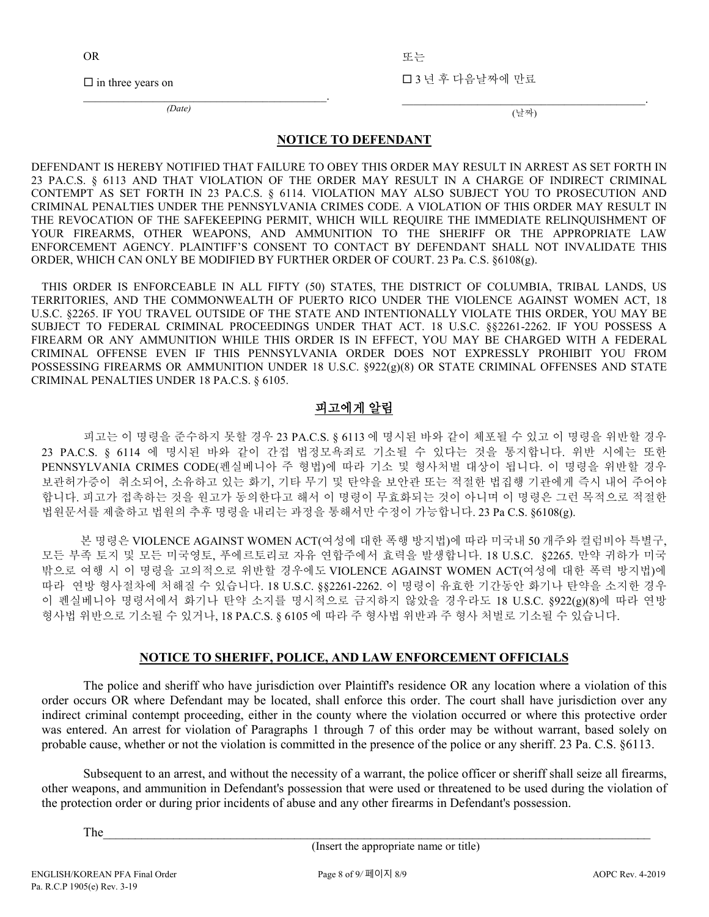OR

또는

 $\square$  in three years on

 $\overline{\mathcal{L}}$  , and the set of the set of the set of the set of the set of the set of the set of the set of the set of the set of the set of the set of the set of the set of the set of the set of the set of the set of the s *(Date)*

3 년 후 다음날짜에 만료

 $\mathcal{L}_\text{max}$  and  $\mathcal{L}_\text{max}$  and  $\mathcal{L}_\text{max}$  and  $\mathcal{L}_\text{max}$ (날짜)

#### **NOTICE TO DEFENDANT**

DEFENDANT IS HEREBY NOTIFIED THAT FAILURE TO OBEY THIS ORDER MAY RESULT IN ARREST AS SET FORTH IN 23 PA.C.S. § 6113 AND THAT VIOLATION OF THE ORDER MAY RESULT IN A CHARGE OF INDIRECT CRIMINAL CONTEMPT AS SET FORTH IN 23 PA.C.S. § 6114. VIOLATION MAY ALSO SUBJECT YOU TO PROSECUTION AND CRIMINAL PENALTIES UNDER THE PENNSYLVANIA CRIMES CODE. A VIOLATION OF THIS ORDER MAY RESULT IN THE REVOCATION OF THE SAFEKEEPING PERMIT, WHICH WILL REQUIRE THE IMMEDIATE RELINQUISHMENT OF YOUR FIREARMS, OTHER WEAPONS, AND AMMUNITION TO THE SHERIFF OR THE APPROPRIATE LAW ENFORCEMENT AGENCY. PLAINTIFF'S CONSENT TO CONTACT BY DEFENDANT SHALL NOT INVALIDATE THIS ORDER, WHICH CAN ONLY BE MODIFIED BY FURTHER ORDER OF COURT. 23 Pa. C.S. §6108(g).

THIS ORDER IS ENFORCEABLE IN ALL FIFTY (50) STATES, THE DISTRICT OF COLUMBIA, TRIBAL LANDS, US TERRITORIES, AND THE COMMONWEALTH OF PUERTO RICO UNDER THE VIOLENCE AGAINST WOMEN ACT, 18 U.S.C. §2265. IF YOU TRAVEL OUTSIDE OF THE STATE AND INTENTIONALLY VIOLATE THIS ORDER, YOU MAY BE SUBJECT TO FEDERAL CRIMINAL PROCEEDINGS UNDER THAT ACT. 18 U.S.C. §§2261-2262. IF YOU POSSESS A FIREARM OR ANY AMMUNITION WHILE THIS ORDER IS IN EFFECT, YOU MAY BE CHARGED WITH A FEDERAL CRIMINAL OFFENSE EVEN IF THIS PENNSYLVANIA ORDER DOES NOT EXPRESSLY PROHIBIT YOU FROM POSSESSING FIREARMS OR AMMUNITION UNDER 18 U.S.C. §922(g)(8) OR STATE CRIMINAL OFFENSES AND STATE CRIMINAL PENALTIES UNDER 18 PA.C.S. § 6105.

# 피고에게 알림

피고는 이 명령을 준수하지 못할 경우 23 PA.C.S. § 6113 에 명시된 바와 같이 체포될 수 있고 이 명령을 위반할 경우 23 PA.C.S. § 6114 에 명시된 바와 같이 간접 법정모욕죄로 기소될 수 있다는 것을 통지합니다. 위반 시에는 또한 PENNSYLVANIA CRIMES CODE(펜실베니아 주 형법)에 따라 기소 및 형사처벌 대상이 됩니다. 이 명령을 위반할 경우 보관허가증이 취소되어, 소유하고 있는 화기, 기타 무기 및 탄약을 보안관 또는 적절한 법집행 기관에게 즉시 내어 주어야 합니다. 피고가 접촉하는 것을 원고가 동의한다고 해서 이 명령이 무효화되는 것이 아니며 이 명령은 그런 목적으로 적절한 법원문서를 제출하고 법원의 추후 명령을 내리는 과정을 통해서만 수정이 가능합니다. 23 Pa C.S. §6108(g).

본 명령은 VIOLENCE AGAINST WOMEN ACT(여성에 대한 폭행 방지법)에 따라 미국내 50 개주와 컬럼비아 특별구, 모든 부족 토지 및 모든 미국영토, 푸에르토리코 자유 연합주에서 효력을 발생합니다. 18 U.S.C. §2265. 만약 귀하가 미국 밖으로 여행 시 이 명령을 고의적으로 위반할 경우에도 VIOLENCE AGAINST WOMEN ACT(여성에 대한 폭력 방지법)에 따라 연방 형사절차에 처해질 수 있습니다. 18 U.S.C. §§2261-2262. 이 명령이 유효한 기간동안 화기나 탄약을 소지한 경우 이 펜실베니아 명령서에서 화기나 탄약 소지를 명시적으로 금지하지 않았을 경우라도 18 U.S.C. §922(g)(8)에 따라 연방 형사법 위반으로 기소될 수 있거나, 18 PA.C.S. § 6105 에 따라 주 형사법 위반과 주 형사 처벌로 기소될 수 있습니다.

#### **NOTICE TO SHERIFF, POLICE, AND LAW ENFORCEMENT OFFICIALS**

The police and sheriff who have jurisdiction over Plaintiff's residence OR any location where a violation of this order occurs OR where Defendant may be located, shall enforce this order. The court shall have jurisdiction over any indirect criminal contempt proceeding, either in the county where the violation occurred or where this protective order was entered. An arrest for violation of Paragraphs 1 through 7 of this order may be without warrant, based solely on probable cause, whether or not the violation is committed in the presence of the police or any sheriff. 23 Pa. C.S. §6113.

Subsequent to an arrest, and without the necessity of a warrant, the police officer or sheriff shall seize all firearms, other weapons, and ammunition in Defendant's possession that were used or threatened to be used during the violation of the protection order or during prior incidents of abuse and any other firearms in Defendant's possession.

The  $\overline{\phantom{a}}$